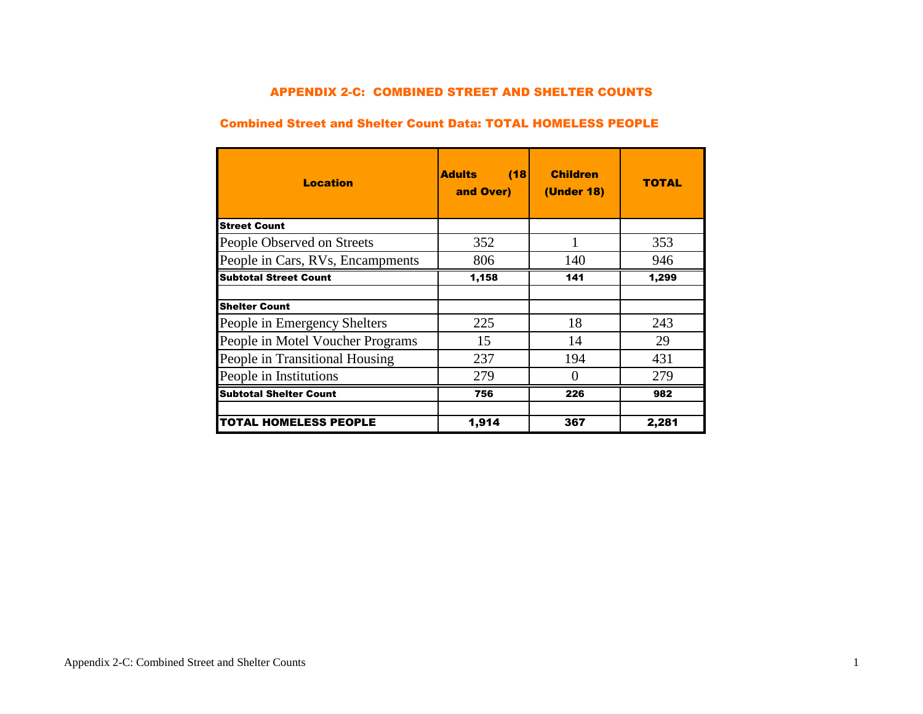#### APPENDIX 2-C: COMBINED STREET AND SHELTER COUNTS

## Combined Street and Shelter Count Data: TOTAL HOMELESS PEOPLE

| <b>Location</b>                  | (18)<br><b>Adults</b><br>and Over) | <b>Children</b><br><b>(Under 18)</b> | <b>TOTAL</b> |
|----------------------------------|------------------------------------|--------------------------------------|--------------|
| <b>Street Count</b>              |                                    |                                      |              |
| People Observed on Streets       | 352                                |                                      | 353          |
| People in Cars, RVs, Encampments | 806                                | 140                                  | 946          |
| <b>Subtotal Street Count</b>     | 1,158                              | 141                                  | 1,299        |
| <b>Shelter Count</b>             |                                    |                                      |              |
| People in Emergency Shelters     | 225                                | 18                                   | 243          |
| People in Motel Voucher Programs | 15                                 | 14                                   | 29           |
| People in Transitional Housing   | 237                                | 194                                  | 431          |
| People in Institutions           | 279                                | $\mathbf{0}$                         | 279          |
| <b>Subtotal Shelter Count</b>    | 756                                | 226                                  | 982          |
| <b>TOTAL HOMELESS PEOPLE</b>     | 1,914                              | 367                                  | 2,281        |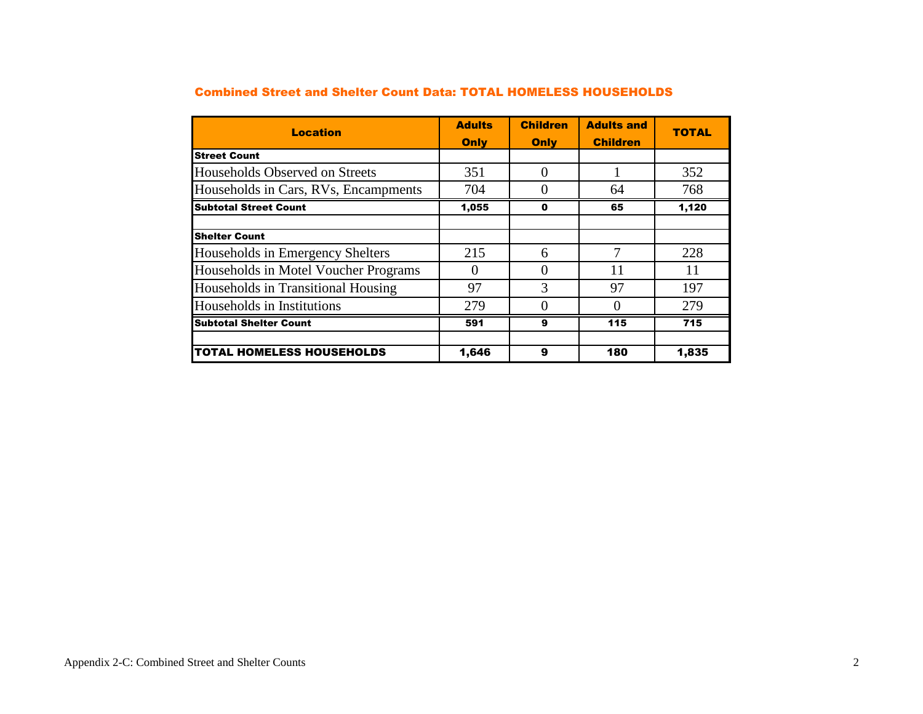| <b>Location</b>                      | <b>Adults</b><br>Only | <b>Children</b><br><b>Only</b> | <b>Adults and</b><br><b>Children</b> | <b>TOTAL</b> |
|--------------------------------------|-----------------------|--------------------------------|--------------------------------------|--------------|
| <b>Street Count</b>                  |                       |                                |                                      |              |
| Households Observed on Streets       | 351                   | $\Omega$                       |                                      | 352          |
| Households in Cars, RVs, Encampments | 704                   |                                | 64                                   | 768          |
| <b>Subtotal Street Count</b>         | 1,055                 | $\Omega$                       | 65                                   | 1,120        |
| <b>Shelter Count</b>                 |                       |                                |                                      |              |
| Households in Emergency Shelters     | 215                   | 6                              | 7                                    | 228          |
| Households in Motel Voucher Programs |                       | $\Omega$                       | 11                                   | 11           |
| Households in Transitional Housing   | 97                    | 3                              | 97                                   | 197          |
| Households in Institutions           | 279                   |                                |                                      | 279          |
| <b>Subtotal Shelter Count</b>        | 591                   | 9                              | 115                                  | 715          |
| <b>TOTAL HOMELESS HOUSEHOLDS</b>     | 1,646                 | 9                              | 180                                  | 1,835        |

## Combined Street and Shelter Count Data: TOTAL HOMELESS HOUSEHOLDS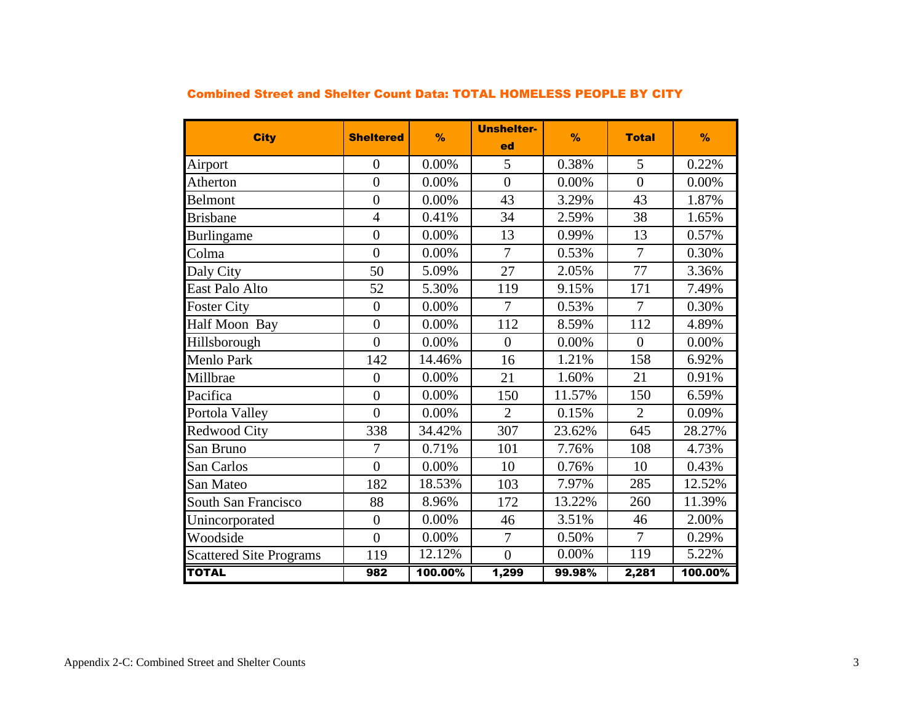| <b>City</b>                    | <b>Sheltered</b> | $\frac{9}{6}$ | <b>Unshelter-</b><br>ed | $\frac{9}{6}$ | <b>Total</b>   | %       |
|--------------------------------|------------------|---------------|-------------------------|---------------|----------------|---------|
| Airport                        | $\overline{0}$   | 0.00%         | 5                       | 0.38%         | 5              | 0.22%   |
| Atherton                       | $\overline{0}$   | 0.00%         | $\overline{0}$          | 0.00%         | $\overline{0}$ | 0.00%   |
| Belmont                        | $\overline{0}$   | 0.00%         | 43                      | 3.29%         | 43             | 1.87%   |
| <b>Brisbane</b>                | $\overline{4}$   | 0.41%         | 34                      | 2.59%         | 38             | 1.65%   |
| Burlingame                     | $\overline{0}$   | 0.00%         | 13                      | 0.99%         | 13             | 0.57%   |
| Colma                          | $\overline{0}$   | 0.00%         | $\overline{7}$          | 0.53%         | $\overline{7}$ | 0.30%   |
| Daly City                      | 50               | 5.09%         | 27                      | 2.05%         | 77             | 3.36%   |
| East Palo Alto                 | 52               | 5.30%         | 119                     | 9.15%         | 171            | 7.49%   |
| <b>Foster City</b>             | $\overline{0}$   | 0.00%         | 7                       | 0.53%         | 7              | 0.30%   |
| Half Moon Bay                  | $\overline{0}$   | $0.00\%$      | 112                     | 8.59%         | 112            | 4.89%   |
| Hillsborough                   | $\overline{0}$   | 0.00%         | $\overline{0}$          | 0.00%         | $\overline{0}$ | 0.00%   |
| <b>Menlo Park</b>              | 142              | 14.46%        | 16                      | 1.21%         | 158            | 6.92%   |
| Millbrae                       | $\overline{0}$   | 0.00%         | 21                      | 1.60%         | 21             | 0.91%   |
| Pacifica                       | $\overline{0}$   | 0.00%         | 150                     | 11.57%        | 150            | 6.59%   |
| Portola Valley                 | $\overline{0}$   | 0.00%         | $\overline{2}$          | 0.15%         | $\overline{2}$ | 0.09%   |
| Redwood City                   | 338              | 34.42%        | 307                     | 23.62%        | 645            | 28.27%  |
| San Bruno                      | 7                | 0.71%         | 101                     | 7.76%         | 108            | 4.73%   |
| San Carlos                     | $\overline{0}$   | 0.00%         | 10                      | 0.76%         | 10             | 0.43%   |
| San Mateo                      | 182              | 18.53%        | 103                     | 7.97%         | 285            | 12.52%  |
| South San Francisco            | 88               | 8.96%         | 172                     | 13.22%        | 260            | 11.39%  |
| Unincorporated                 | $\overline{0}$   | 0.00%         | 46                      | 3.51%         | 46             | 2.00%   |
| Woodside                       | $\overline{0}$   | 0.00%         | 7                       | 0.50%         | 7              | 0.29%   |
| <b>Scattered Site Programs</b> | 119              | 12.12%        | $\overline{0}$          | $0.00\%$      | 119            | 5.22%   |
| <b>TOTAL</b>                   | 982              | 100.00%       | 1,299                   | 99.98%        | 2,281          | 100.00% |

## Combined Street and Shelter Count Data: TOTAL HOMELESS PEOPLE BY CITY